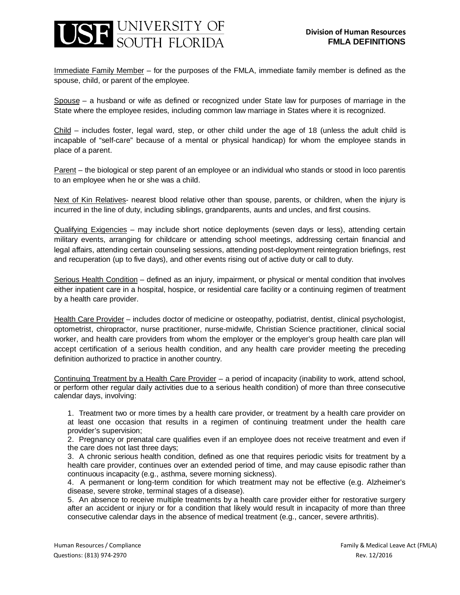## JSF UNIVERSITY OF

Immediate Family Member – for the purposes of the FMLA, immediate family member is defined as the spouse, child, or parent of the employee.

Spouse – a husband or wife as defined or recognized under State law for purposes of marriage in the State where the employee resides, including common law marriage in States where it is recognized.

Child – includes foster, legal ward, step, or other child under the age of 18 (unless the adult child is incapable of "self-care" because of a mental or physical handicap) for whom the employee stands in place of a parent.

Parent – the biological or step parent of an employee or an individual who stands or stood in loco parentis to an employee when he or she was a child.

Next of Kin Relatives- nearest blood relative other than spouse, parents, or children, when the injury is incurred in the line of duty, including siblings, grandparents, aunts and uncles, and first cousins.

Qualifying Exigencies – may include short notice deployments (seven days or less), attending certain military events, arranging for childcare or attending school meetings, addressing certain financial and legal affairs, attending certain counseling sessions, attending post-deployment reintegration briefings, rest and recuperation (up to five days), and other events rising out of active duty or call to duty.

Serious Health Condition – defined as an injury, impairment, or physical or mental condition that involves either inpatient care in a hospital, hospice, or residential care facility or a continuing regimen of treatment by a health care provider.

Health Care Provider – includes doctor of medicine or osteopathy, podiatrist, dentist, clinical psychologist, optometrist, chiropractor, nurse practitioner, nurse-midwife, Christian Science practitioner, clinical social worker, and health care providers from whom the employer or the employer's group health care plan will accept certification of a serious health condition, and any health care provider meeting the preceding definition authorized to practice in another country.

Continuing Treatment by a Health Care Provider – a period of incapacity (inability to work, attend school, or perform other regular daily activities due to a serious health condition) of more than three consecutive calendar days, involving:

1. Treatment two or more times by a health care provider, or treatment by a health care provider on at least one occasion that results in a regimen of continuing treatment under the health care provider's supervision;

2. Pregnancy or prenatal care qualifies even if an employee does not receive treatment and even if the care does not last three days;

3. A chronic serious health condition, defined as one that requires periodic visits for treatment by a health care provider, continues over an extended period of time, and may cause episodic rather than continuous incapacity (e.g., asthma, severe morning sickness).

4. A permanent or long-term condition for which treatment may not be effective (e.g. Alzheimer's disease, severe stroke, terminal stages of a disease).

5. An absence to receive multiple treatments by a health care provider either for restorative surgery after an accident or injury or for a condition that likely would result in incapacity of more than three consecutive calendar days in the absence of medical treatment (e.g., cancer, severe arthritis).